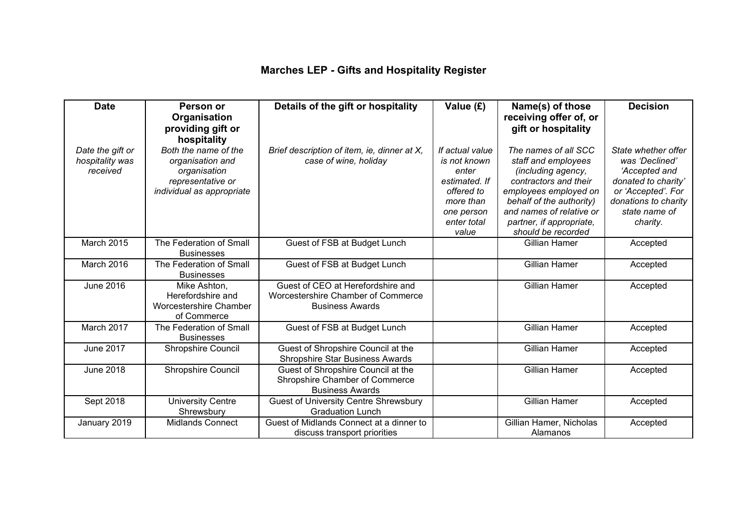## **Marches LEP - Gifts and Hospitality Register**

| <b>Date</b>                                     | Person or<br>Organisation<br>providing gift or                                                                            | Details of the gift or hospitality                                                                | Value (£)                                                                                                                  | Name(s) of those<br>receiving offer of, or<br>gift or hospitality                                                                                                                                                             | <b>Decision</b>                                                                                                                                          |
|-------------------------------------------------|---------------------------------------------------------------------------------------------------------------------------|---------------------------------------------------------------------------------------------------|----------------------------------------------------------------------------------------------------------------------------|-------------------------------------------------------------------------------------------------------------------------------------------------------------------------------------------------------------------------------|----------------------------------------------------------------------------------------------------------------------------------------------------------|
| Date the gift or<br>hospitality was<br>received | hospitality<br>Both the name of the<br>organisation and<br>organisation<br>representative or<br>individual as appropriate | Brief description of item, ie, dinner at X,<br>case of wine, holiday                              | If actual value<br>is not known<br>enter<br>estimated. If<br>offered to<br>more than<br>one person<br>enter total<br>value | The names of all SCC<br>staff and employees<br>(including agency,<br>contractors and their<br>employees employed on<br>behalf of the authority)<br>and names of relative or<br>partner, if appropriate,<br>should be recorded | State whether offer<br>was 'Declined'<br>'Accepted and<br>donated to charity'<br>or 'Accepted'. For<br>donations to charity<br>state name of<br>charity. |
| March 2015                                      | The Federation of Small<br><b>Businesses</b>                                                                              | Guest of FSB at Budget Lunch                                                                      |                                                                                                                            | <b>Gillian Hamer</b>                                                                                                                                                                                                          | Accepted                                                                                                                                                 |
| March 2016                                      | The Federation of Small<br><b>Businesses</b>                                                                              | Guest of FSB at Budget Lunch                                                                      |                                                                                                                            | <b>Gillian Hamer</b>                                                                                                                                                                                                          | Accepted                                                                                                                                                 |
| <b>June 2016</b>                                | Mike Ashton,<br>Herefordshire and<br>Worcestershire Chamber<br>of Commerce                                                | Guest of CEO at Herefordshire and<br>Worcestershire Chamber of Commerce<br><b>Business Awards</b> |                                                                                                                            | <b>Gillian Hamer</b>                                                                                                                                                                                                          | Accepted                                                                                                                                                 |
| March 2017                                      | The Federation of Small<br><b>Businesses</b>                                                                              | Guest of FSB at Budget Lunch                                                                      |                                                                                                                            | <b>Gillian Hamer</b>                                                                                                                                                                                                          | Accepted                                                                                                                                                 |
| <b>June 2017</b>                                | Shropshire Council                                                                                                        | Guest of Shropshire Council at the<br><b>Shropshire Star Business Awards</b>                      |                                                                                                                            | <b>Gillian Hamer</b>                                                                                                                                                                                                          | Accepted                                                                                                                                                 |
| <b>June 2018</b>                                | Shropshire Council                                                                                                        | Guest of Shropshire Council at the<br>Shropshire Chamber of Commerce<br><b>Business Awards</b>    |                                                                                                                            | <b>Gillian Hamer</b>                                                                                                                                                                                                          | Accepted                                                                                                                                                 |
| Sept 2018                                       | <b>University Centre</b><br>Shrewsbury                                                                                    | <b>Guest of University Centre Shrewsbury</b><br><b>Graduation Lunch</b>                           |                                                                                                                            | <b>Gillian Hamer</b>                                                                                                                                                                                                          | Accepted                                                                                                                                                 |
| January 2019                                    | <b>Midlands Connect</b>                                                                                                   | Guest of Midlands Connect at a dinner to<br>discuss transport priorities                          |                                                                                                                            | Gillian Hamer, Nicholas<br>Alamanos                                                                                                                                                                                           | Accepted                                                                                                                                                 |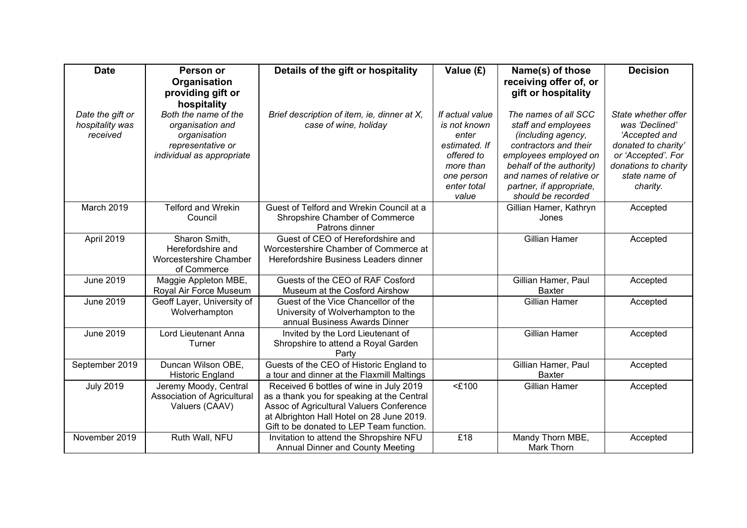| <b>Date</b>      | Person or                        | Details of the gift or hospitality           | Value (£)            | Name(s) of those                               | <b>Decision</b>      |
|------------------|----------------------------------|----------------------------------------------|----------------------|------------------------------------------------|----------------------|
|                  | Organisation                     |                                              |                      | receiving offer of, or                         |                      |
|                  | providing gift or<br>hospitality |                                              |                      | gift or hospitality                            |                      |
| Date the gift or | Both the name of the             | Brief description of item, ie, dinner at X,  | If actual value      | The names of all SCC                           | State whether offer  |
| hospitality was  | organisation and                 | case of wine, holiday                        | is not known         | staff and employees                            | was 'Declined'       |
| received         | organisation                     |                                              | enter                | (including agency,                             | 'Accepted and        |
|                  | representative or                |                                              | estimated. If        | contractors and their                          | donated to charity'  |
|                  | individual as appropriate        |                                              | offered to           | employees employed on                          | or 'Accepted'. For   |
|                  |                                  |                                              | more than            | behalf of the authority)                       | donations to charity |
|                  |                                  |                                              | one person           | and names of relative or                       | state name of        |
|                  |                                  |                                              | enter total<br>value | partner, if appropriate,<br>should be recorded | charity.             |
| March 2019       | <b>Telford and Wrekin</b>        | Guest of Telford and Wrekin Council at a     |                      | Gillian Hamer, Kathryn                         | Accepted             |
|                  | Council                          | Shropshire Chamber of Commerce               |                      | Jones                                          |                      |
|                  |                                  | Patrons dinner                               |                      |                                                |                      |
| April 2019       | Sharon Smith,                    | Guest of CEO of Herefordshire and            |                      | <b>Gillian Hamer</b>                           | Accepted             |
|                  | Herefordshire and                | Worcestershire Chamber of Commerce at        |                      |                                                |                      |
|                  | Worcestershire Chamber           | Herefordshire Business Leaders dinner        |                      |                                                |                      |
|                  | of Commerce                      |                                              |                      |                                                |                      |
| <b>June 2019</b> | Maggie Appleton MBE,             | Guests of the CEO of RAF Cosford             |                      | Gillian Hamer, Paul                            | Accepted             |
|                  | Royal Air Force Museum           | Museum at the Cosford Airshow                |                      | <b>Baxter</b>                                  |                      |
| <b>June 2019</b> | Geoff Layer, University of       | Guest of the Vice Chancellor of the          |                      | <b>Gillian Hamer</b>                           | Accepted             |
|                  | Wolverhampton                    | University of Wolverhampton to the           |                      |                                                |                      |
|                  |                                  | annual Business Awards Dinner                |                      |                                                |                      |
| <b>June 2019</b> | Lord Lieutenant Anna             | Invited by the Lord Lieutenant of            |                      | <b>Gillian Hamer</b>                           | Accepted             |
|                  | Turner                           | Shropshire to attend a Royal Garden<br>Party |                      |                                                |                      |
| September 2019   | Duncan Wilson OBE,               | Guests of the CEO of Historic England to     |                      | Gillian Hamer, Paul                            | Accepted             |
|                  | <b>Historic England</b>          | a tour and dinner at the Flaxmill Maltings   |                      | <b>Baxter</b>                                  |                      |
| <b>July 2019</b> | Jeremy Moody, Central            | Received 6 bottles of wine in July 2019      | $<$ £100             | <b>Gillian Hamer</b>                           | Accepted             |
|                  | Association of Agricultural      | as a thank you for speaking at the Central   |                      |                                                |                      |
|                  | Valuers (CAAV)                   | Assoc of Agricultural Valuers Conference     |                      |                                                |                      |
|                  |                                  | at Albrighton Hall Hotel on 28 June 2019.    |                      |                                                |                      |
|                  |                                  | Gift to be donated to LEP Team function.     |                      |                                                |                      |
| November 2019    | Ruth Wall, NFU                   | Invitation to attend the Shropshire NFU      | £18                  | Mandy Thorn MBE,                               | Accepted             |
|                  |                                  | <b>Annual Dinner and County Meeting</b>      |                      | Mark Thorn                                     |                      |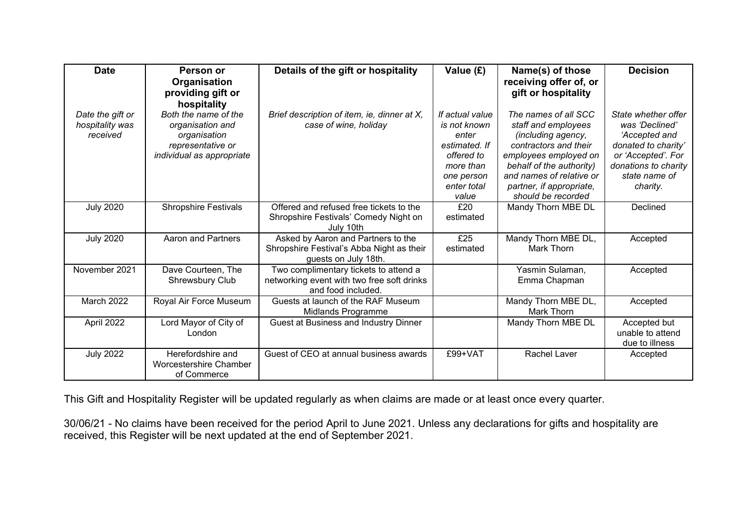| <b>Date</b>                                     | Person or                                                                                                  | Details of the gift or hospitality                                                                        | Value (£)                                                                                                                  | Name(s) of those                                                                                                                                                                                                              | <b>Decision</b>                                                                                                                                          |
|-------------------------------------------------|------------------------------------------------------------------------------------------------------------|-----------------------------------------------------------------------------------------------------------|----------------------------------------------------------------------------------------------------------------------------|-------------------------------------------------------------------------------------------------------------------------------------------------------------------------------------------------------------------------------|----------------------------------------------------------------------------------------------------------------------------------------------------------|
|                                                 | Organisation<br>providing gift or<br>hospitality                                                           |                                                                                                           |                                                                                                                            | receiving offer of, or<br>gift or hospitality                                                                                                                                                                                 |                                                                                                                                                          |
| Date the gift or<br>hospitality was<br>received | Both the name of the<br>organisation and<br>organisation<br>representative or<br>individual as appropriate | Brief description of item, ie, dinner at X,<br>case of wine, holiday                                      | If actual value<br>is not known<br>enter<br>estimated. If<br>offered to<br>more than<br>one person<br>enter total<br>value | The names of all SCC<br>staff and employees<br>(including agency,<br>contractors and their<br>employees employed on<br>behalf of the authority)<br>and names of relative or<br>partner, if appropriate,<br>should be recorded | State whether offer<br>was 'Declined'<br>'Accepted and<br>donated to charity'<br>or 'Accepted'. For<br>donations to charity<br>state name of<br>charity. |
| <b>July 2020</b>                                | <b>Shropshire Festivals</b>                                                                                | Offered and refused free tickets to the<br>Shropshire Festivals' Comedy Night on<br>July 10th             | £20<br>estimated                                                                                                           | Mandy Thorn MBE DL                                                                                                                                                                                                            | Declined                                                                                                                                                 |
| <b>July 2020</b>                                | <b>Aaron and Partners</b>                                                                                  | Asked by Aaron and Partners to the<br>Shropshire Festival's Abba Night as their<br>guests on July 18th.   | £25<br>estimated                                                                                                           | Mandy Thorn MBE DL,<br>Mark Thorn                                                                                                                                                                                             | Accepted                                                                                                                                                 |
| November 2021                                   | Dave Courteen, The<br><b>Shrewsbury Club</b>                                                               | Two complimentary tickets to attend a<br>networking event with two free soft drinks<br>and food included. |                                                                                                                            | Yasmin Sulaman,<br>Emma Chapman                                                                                                                                                                                               | Accepted                                                                                                                                                 |
| March 2022                                      | Royal Air Force Museum                                                                                     | Guests at launch of the RAF Museum<br>Midlands Programme                                                  |                                                                                                                            | Mandy Thorn MBE DL,<br>Mark Thorn                                                                                                                                                                                             | Accepted                                                                                                                                                 |
| April 2022                                      | Lord Mayor of City of<br>London                                                                            | Guest at Business and Industry Dinner                                                                     |                                                                                                                            | Mandy Thorn MBE DL                                                                                                                                                                                                            | Accepted but<br>unable to attend<br>due to illness                                                                                                       |
| <b>July 2022</b>                                | Herefordshire and<br>Worcestershire Chamber<br>of Commerce                                                 | Guest of CEO at annual business awards                                                                    | £99+VAT                                                                                                                    | <b>Rachel Laver</b>                                                                                                                                                                                                           | Accepted                                                                                                                                                 |

This Gift and Hospitality Register will be updated regularly as when claims are made or at least once every quarter.

30/06/21 - No claims have been received for the period April to June 2021. Unless any declarations for gifts and hospitality are received, this Register will be next updated at the end of September 2021.